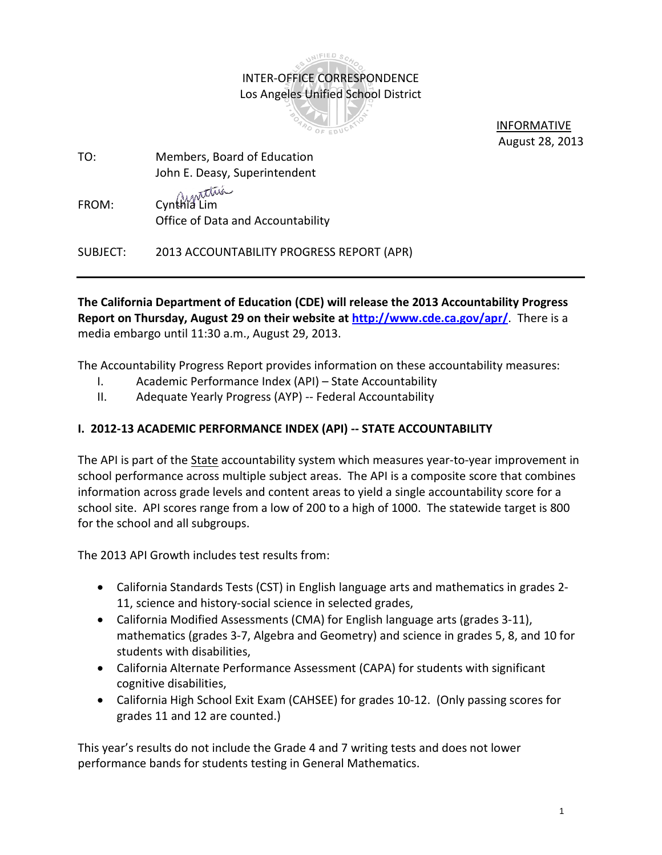# INTER-OFFICE CORRESPONDENCE Los Angeles Unified School District

INIFIED SC



 INFORMATIVE August 28, 2013

- TO: Members, Board of Education John E. Deasy, Superintendent
- FROM: Cynthia Lim Office of Data and Accountability

SUBJECT: 2013 ACCOUNTABILITY PROGRESS REPORT (APR)

**The California Department of Education (CDE) will release the 2013 Accountability Progress Report on Thursday, August 29 on their website at<http://www.cde.ca.gov/apr/>**. There is a media embargo until 11:30 a.m., August 29, 2013.

The Accountability Progress Report provides information on these accountability measures:

- I. Academic Performance Index (API) State Accountability
- II. Adequate Yearly Progress (AYP) -- Federal Accountability

# **I. 2012-13 ACADEMIC PERFORMANCE INDEX (API) -- STATE ACCOUNTABILITY**

The API is part of the State accountability system which measures year-to-year improvement in school performance across multiple subject areas. The API is a composite score that combines information across grade levels and content areas to yield a single accountability score for a school site. API scores range from a low of 200 to a high of 1000. The statewide target is 800 for the school and all subgroups.

The 2013 API Growth includes test results from:

- California Standards Tests (CST) in English language arts and mathematics in grades 2- 11, science and history-social science in selected grades,
- California Modified Assessments (CMA) for English language arts (grades 3-11), mathematics (grades 3-7, Algebra and Geometry) and science in grades 5, 8, and 10 for students with disabilities,
- California Alternate Performance Assessment (CAPA) for students with significant cognitive disabilities,
- California High School Exit Exam (CAHSEE) for grades 10-12. (Only passing scores for grades 11 and 12 are counted.)

This year's results do not include the Grade 4 and 7 writing tests and does not lower performance bands for students testing in General Mathematics.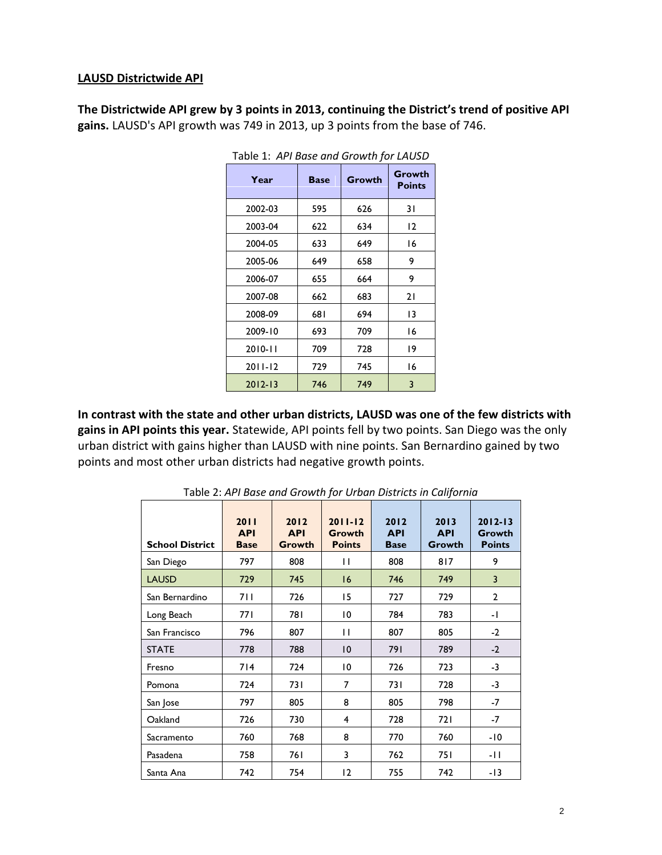#### **LAUSD Districtwide API**

**The Districtwide API grew by 3 points in 2013, continuing the District's trend of positive API gains.** LAUSD's API growth was 749 in 2013, up 3 points from the base of 746.

| iavic 1. Ari busc unu Growin jui LAOSD |             |        |                         |  |  |  |  |
|----------------------------------------|-------------|--------|-------------------------|--|--|--|--|
| Year                                   | <b>Base</b> | Growth | Growth<br><b>Points</b> |  |  |  |  |
| 2002-03                                | 595         | 626    | 31                      |  |  |  |  |
| 2003-04                                | 622         | 634    | 12                      |  |  |  |  |
| 2004-05                                | 633         | 649    | 16                      |  |  |  |  |
| 2005-06                                | 649         | 658    | 9                       |  |  |  |  |
| 2006-07                                | 655         | 664    | 9                       |  |  |  |  |
| 2007-08                                | 662         | 683    | 21                      |  |  |  |  |
| 2008-09                                | 681         | 694    | 13                      |  |  |  |  |
| 2009-10                                | 693         | 709    | 16                      |  |  |  |  |
| $2010 - 11$                            | 709         | 728    | 19                      |  |  |  |  |
| $2011 - 12$                            | 729         | 745    | 16                      |  |  |  |  |
| $2012 - 13$                            | 746         | 749    | 3                       |  |  |  |  |

Table 1: *API Base and Growth for LAUSD*

**In contrast with the state and other urban districts, LAUSD was one of the few districts with gains in API points this year.** Statewide, API points fell by two points. San Diego was the only urban district with gains higher than LAUSD with nine points. San Bernardino gained by two points and most other urban districts had negative growth points.

| <b>School District</b> | 2011<br><b>API</b><br><b>Base</b> | 2012<br><b>API</b><br>Growth | $2011 - 12$<br>Growth<br><b>Points</b> | 2012<br><b>API</b><br><b>Base</b> | 2013<br><b>API</b><br>Growth | $2012 - 13$<br>Growth<br><b>Points</b> |
|------------------------|-----------------------------------|------------------------------|----------------------------------------|-----------------------------------|------------------------------|----------------------------------------|
| San Diego              | 797                               | 808                          | П                                      | 808                               | 817                          | 9                                      |
| <b>LAUSD</b>           | 729                               | 745                          | 16                                     | 746                               | 749                          | 3                                      |
| San Bernardino         | 711                               | 726                          | 15                                     | 727                               | 729                          | $\overline{2}$                         |
| Long Beach             | 77 I                              | 781                          | 10                                     | 784                               | 783                          | - 1                                    |
| San Francisco          | 796                               | 807                          | П                                      | 807                               | 805                          | $-2$                                   |
| <b>STATE</b>           | 778                               | 788                          | $\overline{10}$                        | 791                               | 789                          | $-2$                                   |
| Fresno                 | 714                               | 724                          | 10                                     | 726                               | 723                          | $-3$                                   |
| Pomona                 | 724                               | 731                          | 7                                      | 73 I                              | 728                          | $-3$                                   |
| San Jose               | 797                               | 805                          | 8                                      | 805                               | 798                          | $-7$                                   |
| Oakland                | 726                               | 730                          | 4                                      | 728                               | 721                          | -7                                     |
| Sacramento             | 760                               | 768                          | 8                                      | 770                               | 760                          | -10                                    |
| Pasadena               | 758                               | 761                          | 3                                      | 762                               | 751                          | -11                                    |
| Santa Ana              | 742                               | 754                          | 12                                     | 755                               | 742                          | -13                                    |

Table 2: *API Base and Growth for Urban Districts in California*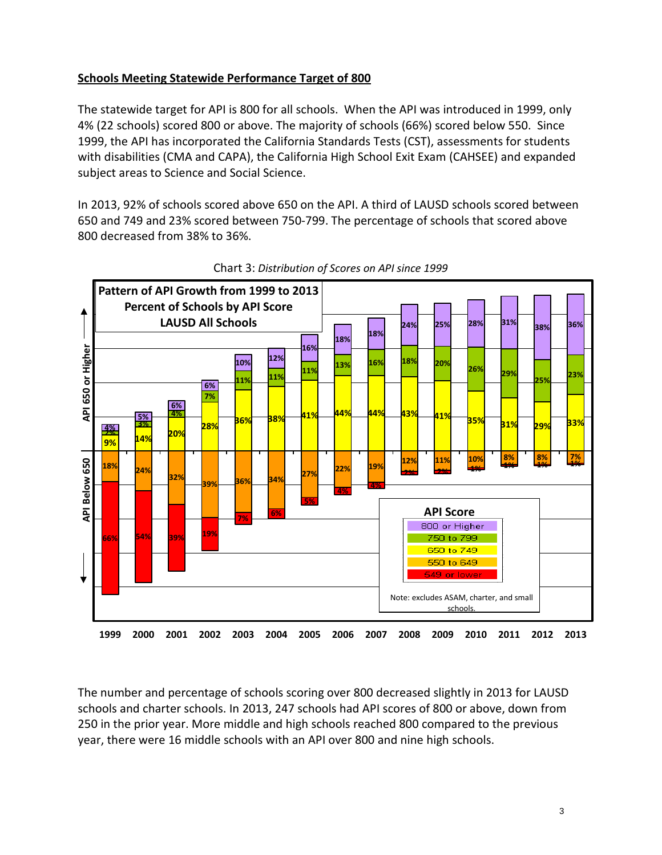## **Schools Meeting Statewide Performance Target of 800**

The statewide target for API is 800 for all schools. When the API was introduced in 1999, only 4% (22 schools) scored 800 or above. The majority of schools (66%) scored below 550. Since 1999, the API has incorporated the California Standards Tests (CST), assessments for students with disabilities (CMA and CAPA), the California High School Exit Exam (CAHSEE) and expanded subject areas to Science and Social Science.

In 2013, 92% of schools scored above 650 on the API. A third of LAUSD schools scored between 650 and 749 and 23% scored between 750-799. The percentage of schools that scored above 800 decreased from 38% to 36%.





The number and percentage of schools scoring over 800 decreased slightly in 2013 for LAUSD schools and charter schools. In 2013, 247 schools had API scores of 800 or above, down from 250 in the prior year. More middle and high schools reached 800 compared to the previous year, there were 16 middle schools with an API over 800 and nine high schools.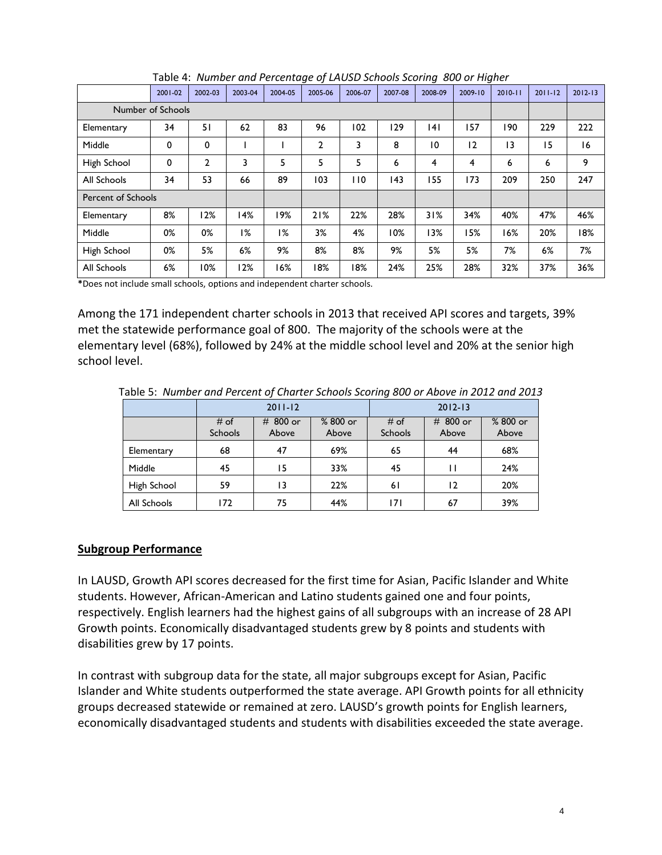|                           | 2001-02 | 2002-03 | 2003-04 | 2004-05 | 2005-06      | 2006-07    | 2007-08 | 2008-09 | 2009-10 | $2010 - 11$ | $2011 - 12$ | $2012 - 13$ |
|---------------------------|---------|---------|---------|---------|--------------|------------|---------|---------|---------|-------------|-------------|-------------|
| Number of Schools         |         |         |         |         |              |            |         |         |         |             |             |             |
| Elementary                | 34      | 51      | 62      | 83      | 96           | 102        | 129     | 4       | 157     | 190         | 229         | 222         |
| Middle                    | 0       | 0       |         |         | $\mathbf{2}$ | 3          | 8       | 10      | 12      | 13          | 15          | 16          |
| High School               | 0       | 2       | 3       | 5       | 5            | 5          | 6       | 4       | 4       | 6           | 6           | 9           |
| All Schools               | 34      | 53      | 66      | 89      | 103          | <b>110</b> | 143     | 155     | 173     | 209         | 250         | 247         |
| <b>Percent of Schools</b> |         |         |         |         |              |            |         |         |         |             |             |             |
| Elementary                | 8%      | l 2%    | 14%     | 19%     | 21%          | 22%        | 28%     | 31%     | 34%     | 40%         | 47%         | 46%         |
| Middle                    | 0%      | 0%      | 1%      | 1%      | 3%           | 4%         | 10%     | 13%     | 15%     | 16%         | 20%         | 18%         |
| High School               | 0%      | 5%      | 6%      | 9%      | 8%           | 8%         | 9%      | 5%      | 5%      | 7%          | 6%          | 7%          |
| All Schools               | 6%      | 10%     | 12%     | 16%     | 18%          | 18%        | 24%     | 25%     | 28%     | 32%         | 37%         | 36%         |

Table 4: *Number and Percentage of LAUSD Schools Scoring 800 or Higher*

**\***Does not include small schools, options and independent charter schools.

Among the 171 independent charter schools in 2013 that received API scores and targets, 39% met the statewide performance goal of 800. The majority of the schools were at the elementary level (68%), followed by 24% at the middle school level and 20% at the senior high school level.

Table 5: *Number and Percent of Charter Schools Scoring 800 or Above in 2012 and 2013*

|             |                 | $2011 - 12$          |                   | $2012 - 13$     |                   |                   |  |
|-------------|-----------------|----------------------|-------------------|-----------------|-------------------|-------------------|--|
|             | # of<br>Schools | 800 or<br>#<br>Above | % 800 or<br>Above | # of<br>Schools | # 800 or<br>Above | % 800 or<br>Above |  |
| Elementary  | 68              | 47                   | 69%               | 65              | 44                | 68%               |  |
| Middle      | 45              | 15                   | 33%               | 45              |                   | 24%               |  |
| High School | 59              | 13                   | 22%               | 61              | 12                | 20%               |  |
| All Schools | 172             | 75                   | 44%               | 171             | 67                | 39%               |  |

#### **Subgroup Performance**

In LAUSD, Growth API scores decreased for the first time for Asian, Pacific Islander and White students. However, African-American and Latino students gained one and four points, respectively. English learners had the highest gains of all subgroups with an increase of 28 API Growth points. Economically disadvantaged students grew by 8 points and students with disabilities grew by 17 points.

In contrast with subgroup data for the state, all major subgroups except for Asian, Pacific Islander and White students outperformed the state average. API Growth points for all ethnicity groups decreased statewide or remained at zero. LAUSD's growth points for English learners, economically disadvantaged students and students with disabilities exceeded the state average.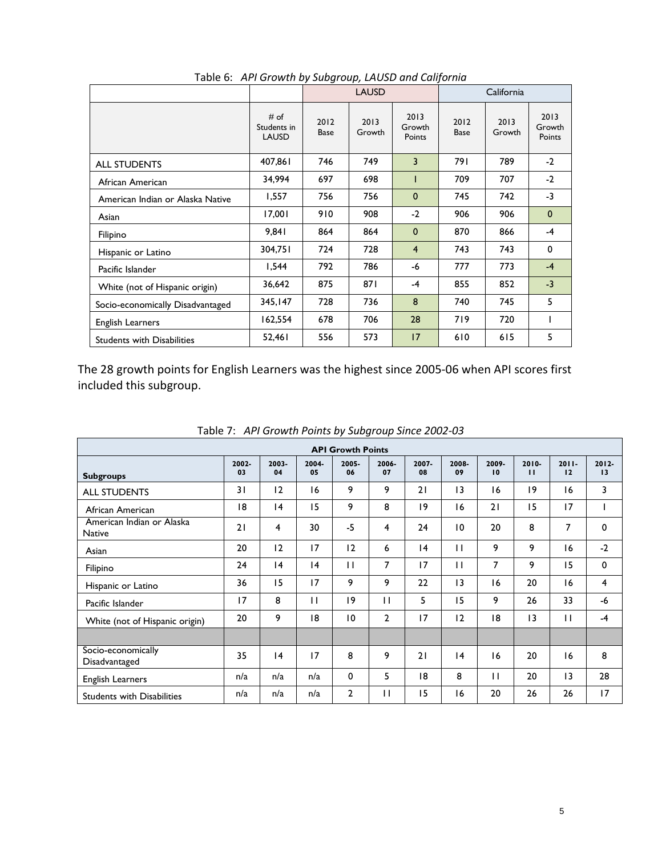|                                   |                                     | <b>LAUSD</b>        |                |                          |                     | California     |                          |  |
|-----------------------------------|-------------------------------------|---------------------|----------------|--------------------------|---------------------|----------------|--------------------------|--|
|                                   | # of<br>Students in<br><b>LAUSD</b> | 2012<br><b>Base</b> | 2013<br>Growth | 2013<br>Growth<br>Points | 2012<br><b>Base</b> | 2013<br>Growth | 2013<br>Growth<br>Points |  |
| <b>ALL STUDENTS</b>               | 407,861                             | 746                 | 749            | 3                        | 791                 | 789            | $-2$                     |  |
| African American                  | 34,994                              | 697                 | 698            |                          | 709                 | 707            | $-2$                     |  |
| American Indian or Alaska Native  | 1,557                               | 756                 | 756            | $\mathbf{0}$             | 745                 | 742            | $-3$                     |  |
| Asian                             | 17,001                              | 910                 | 908            | $-2$                     | 906                 | 906            | $\mathbf{0}$             |  |
| Filipino                          | 9.841                               | 864                 | 864            | $\mathbf{0}$             | 870                 | 866            | $-4$                     |  |
| Hispanic or Latino                | 304,751                             | 724                 | 728            | $\overline{4}$           | 743                 | 743            | 0                        |  |
| Pacific Islander                  | 1.544                               | 792                 | 786            | -6                       | 777                 | 773            | $-4$                     |  |
| White (not of Hispanic origin)    | 36,642                              | 875                 | 871            | $-4$                     | 855                 | 852            | $-3$                     |  |
| Socio-economically Disadvantaged  | 345.147                             | 728                 | 736            | 8                        | 740                 | 745            | 5                        |  |
| English Learners                  | 162,554                             | 678                 | 706            | 28                       | 719                 | 720            |                          |  |
| <b>Students with Disabilities</b> | 52,461                              | 556                 | 573            | 17                       | 610                 | 615            | 5                        |  |

Table 6: *API Growth by Subgroup, LAUSD and California*

The 28 growth points for English Learners was the highest since 2005-06 when API scores first included this subgroup.

| <b>API Growth Points</b>                   |             |             |             |                |                |                |                 |              |                          |                |                |  |
|--------------------------------------------|-------------|-------------|-------------|----------------|----------------|----------------|-----------------|--------------|--------------------------|----------------|----------------|--|
| <b>Subgroups</b>                           | 2002-<br>03 | 2003-<br>04 | 2004-<br>05 | 2005-<br>06    | 2006-<br>07    | $2007 -$<br>08 | 2008-<br>09     | 2009-<br>10  | $2010 -$<br>$\mathbf{H}$ | $2011 -$<br>12 | $2012 -$<br>13 |  |
| <b>ALL STUDENTS</b>                        | 31          | 12          | 16          | 9              | 9              | 21             | $\overline{13}$ | 16           | 19                       | 16             | 3              |  |
| African American                           | 18          | 4           | 15          | 9              | 8              | 9              | 16              | 21           | 15                       | 17             |                |  |
| American Indian or Alaska<br><b>Native</b> | 21          | 4           | 30          | $-5$           | 4              | 24             | 10              | 20           | 8                        | 7              | 0              |  |
| Asian                                      | 20          | 12          | 17          | 12             | 6              | 4              | $\mathbf{H}$    | 9            | 9                        | 16             | $-2$           |  |
| Filipino                                   | 24          | 4           | 4           | $\mathbf{H}$   | 7              | 17             | $\mathbf{H}$    | 7            | 9                        | 15             | $\mathbf 0$    |  |
| Hispanic or Latino                         | 36          | 15          | 17          | 9              | 9              | 22             | $\overline{13}$ | 16           | 20                       | 16             | 4              |  |
| Pacific Islander                           | 17          | 8           | П           | 19             | П              | 5              | 15              | 9            | 26                       | 33             | -6             |  |
| White (not of Hispanic origin)             | 20          | 9           | 18          | 10             | $\overline{2}$ | 17             | 12              | 18           | $\overline{13}$          | $\mathbf{H}$   | $-4$           |  |
|                                            |             |             |             |                |                |                |                 |              |                          |                |                |  |
| Socio-economically<br>Disadvantaged        | 35          | 4           | 17          | 8              | 9              | 21             | 4               | 16           | 20                       | 16             | 8              |  |
| English Learners                           | n/a         | n/a         | n/a         | 0              | 5              | 18             | 8               | $\mathbf{H}$ | 20                       | 3              | 28             |  |
| <b>Students with Disabilities</b>          | n/a         | n/a         | n/a         | $\overline{2}$ | П              | 15             | 16              | 20           | 26                       | 26             | 17             |  |

Table 7: *API Growth Points by Subgroup Since 2002-03*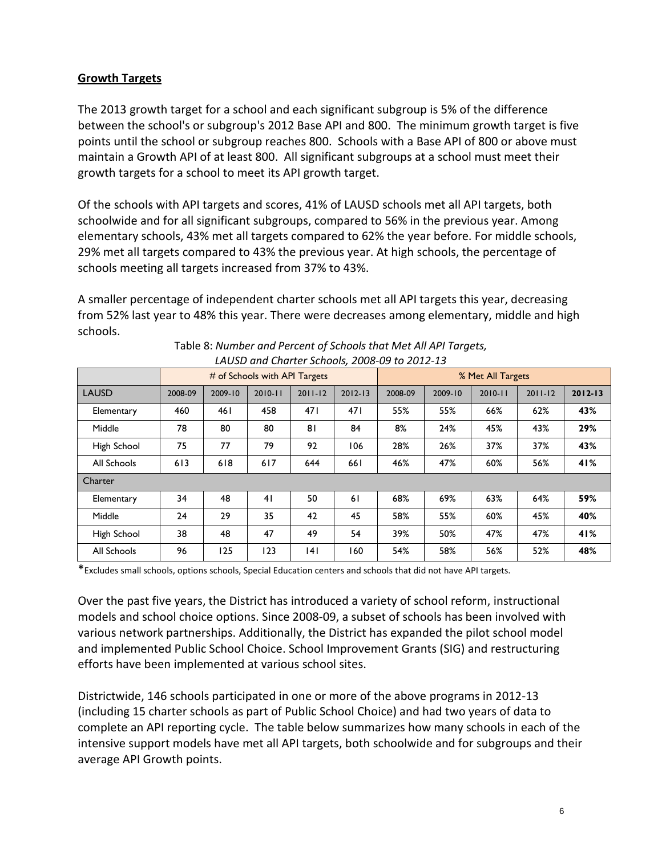## **Growth Targets**

The 2013 growth target for a school and each significant subgroup is 5% of the difference between the school's or subgroup's 2012 Base API and 800. The minimum growth target is five points until the school or subgroup reaches 800. Schools with a Base API of 800 or above must maintain a Growth API of at least 800. All significant subgroups at a school must meet their growth targets for a school to meet its API growth target.

Of the schools with API targets and scores, 41% of LAUSD schools met all API targets, both schoolwide and for all significant subgroups, compared to 56% in the previous year. Among elementary schools, 43% met all targets compared to 62% the year before. For middle schools, 29% met all targets compared to 43% the previous year. At high schools, the percentage of schools meeting all targets increased from 37% to 43%.

A smaller percentage of independent charter schools met all API targets this year, decreasing from 52% last year to 48% this year. There were decreases among elementary, middle and high schools.

|              |         |         | # of Schools with API Targets |             |             | % Met All Targets |         |             |             |             |
|--------------|---------|---------|-------------------------------|-------------|-------------|-------------------|---------|-------------|-------------|-------------|
| <b>LAUSD</b> | 2008-09 | 2009-10 | $2010 - 11$                   | $2011 - 12$ | $2012 - 13$ | 2008-09           | 2009-10 | $2010 - 11$ | $2011 - 12$ | $2012 - 13$ |
| Elementary   | 460     | 461     | 458                           | 471         | 471         | 55%               | 55%     | 66%         | 62%         | 43%         |
| Middle       | 78      | 80      | 80                            | 81          | 84          | 8%                | 24%     | 45%         | 43%         | 29%         |
| High School  | 75      | 77      | 79                            | 92          | 106         | 28%               | 26%     | 37%         | 37%         | 43%         |
| All Schools  | 613     | 618     | 617                           | 644         | 661         | 46%               | 47%     | 60%         | 56%         | 41%         |
| Charter      |         |         |                               |             |             |                   |         |             |             |             |
| Elementary   | 34      | 48      | 41                            | 50          | 61          | 68%               | 69%     | 63%         | 64%         | 59%         |
| Middle       | 24      | 29      | 35                            | 42          | 45          | 58%               | 55%     | 60%         | 45%         | 40%         |
| High School  | 38      | 48      | 47                            | 49          | 54          | 39%               | 50%     | 47%         | 47%         | 41%         |
| All Schools  | 96      | 125     | 123                           | 4           | 160         | 54%               | 58%     | 56%         | 52%         | 48%         |

| Table 8: Number and Percent of Schools that Met All API Targets, |
|------------------------------------------------------------------|
| LAUSD and Charter Schools, 2008-09 to 2012-13                    |

\*Excludes small schools, options schools, Special Education centers and schools that did not have API targets.

Over the past five years, the District has introduced a variety of school reform, instructional models and school choice options. Since 2008-09, a subset of schools has been involved with various network partnerships. Additionally, the District has expanded the pilot school model and implemented Public School Choice. School Improvement Grants (SIG) and restructuring efforts have been implemented at various school sites.

Districtwide, 146 schools participated in one or more of the above programs in 2012-13 (including 15 charter schools as part of Public School Choice) and had two years of data to complete an API reporting cycle. The table below summarizes how many schools in each of the intensive support models have met all API targets, both schoolwide and for subgroups and their average API Growth points.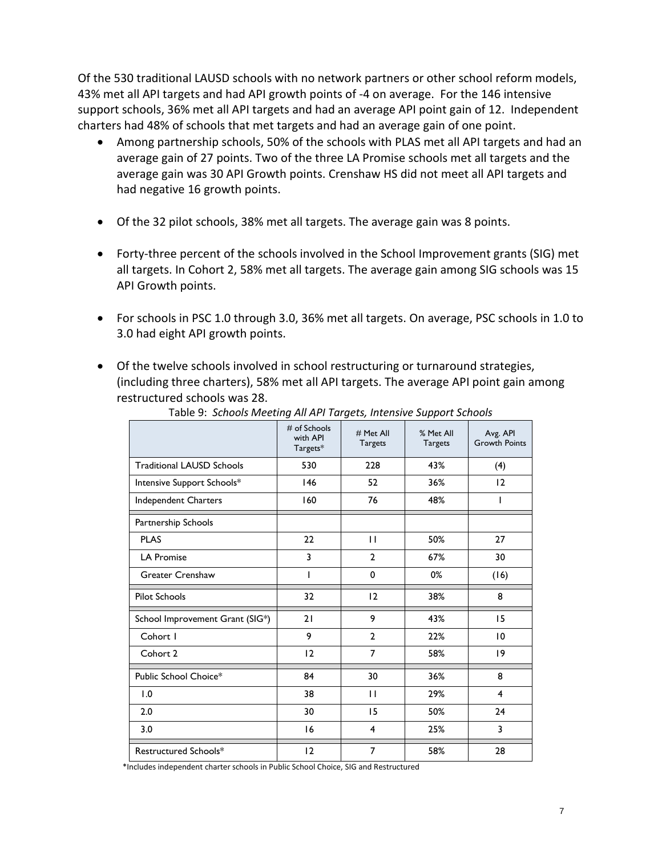Of the 530 traditional LAUSD schools with no network partners or other school reform models, 43% met all API targets and had API growth points of -4 on average. For the 146 intensive support schools, 36% met all API targets and had an average API point gain of 12. Independent charters had 48% of schools that met targets and had an average gain of one point.

- Among partnership schools, 50% of the schools with PLAS met all API targets and had an average gain of 27 points. Two of the three LA Promise schools met all targets and the average gain was 30 API Growth points. Crenshaw HS did not meet all API targets and had negative 16 growth points.
- Of the 32 pilot schools, 38% met all targets. The average gain was 8 points.
- Forty-three percent of the schools involved in the School Improvement grants (SIG) met all targets. In Cohort 2, 58% met all targets. The average gain among SIG schools was 15 API Growth points.
- For schools in PSC 1.0 through 3.0, 36% met all targets. On average, PSC schools in 1.0 to 3.0 had eight API growth points.
- Of the twelve schools involved in school restructuring or turnaround strategies, (including three charters), 58% met all API targets. The average API point gain among restructured schools was 28.

| rapic 5. Schools McCallig / 11 / 11 / 11 gets, interisive support schools | # of Schools<br>with API<br>Targets* | # Met All<br><b>Targets</b> | % Met All<br><b>Targets</b> | Avg. API<br><b>Growth Points</b> |
|---------------------------------------------------------------------------|--------------------------------------|-----------------------------|-----------------------------|----------------------------------|
| <b>Traditional LAUSD Schools</b>                                          | 530                                  | 228                         | 43%                         | (4)                              |
| Intensive Support Schools*                                                | 146                                  | 52                          | 36%                         | 12                               |
| Independent Charters                                                      | 160                                  | 76                          | 48%                         | I                                |
| Partnership Schools                                                       |                                      |                             |                             |                                  |
| <b>PLAS</b>                                                               | 22                                   | $\mathbf{H}$                | 50%                         | 27                               |
| <b>LA Promise</b>                                                         | 3                                    | $\mathbf{2}$                | 67%                         | 30                               |
| <b>Greater Crenshaw</b>                                                   | I                                    | 0                           | 0%                          | (16)                             |
| <b>Pilot Schools</b>                                                      | 32                                   | 12                          | 38%                         | 8                                |
| School Improvement Grant (SIG*)                                           | 21                                   | 9                           | 43%                         | 15                               |
| Cohort I                                                                  | 9                                    | $\overline{2}$              | 22%                         | 10                               |
| Cohort 2                                                                  | 12                                   | 7                           | 58%                         | 9                                |
| Public School Choice*                                                     | 84                                   | 30                          | 36%                         | 8                                |
| 1.0                                                                       | 38                                   | $\mathbf{H}$                | 29%                         | $\overline{4}$                   |
| 2.0                                                                       | 30                                   | 15                          | 50%                         | 24                               |
| 3.0                                                                       | 16                                   | $\overline{\mathbf{4}}$     | 25%                         | 3                                |
| Restructured Schools*                                                     | 12                                   | 7                           | 58%                         | 28                               |

Table 9: *Schools Meeting All API Targets, Intensive Support Schools* 

\*Includes independent charter schools in Public School Choice, SIG and Restructured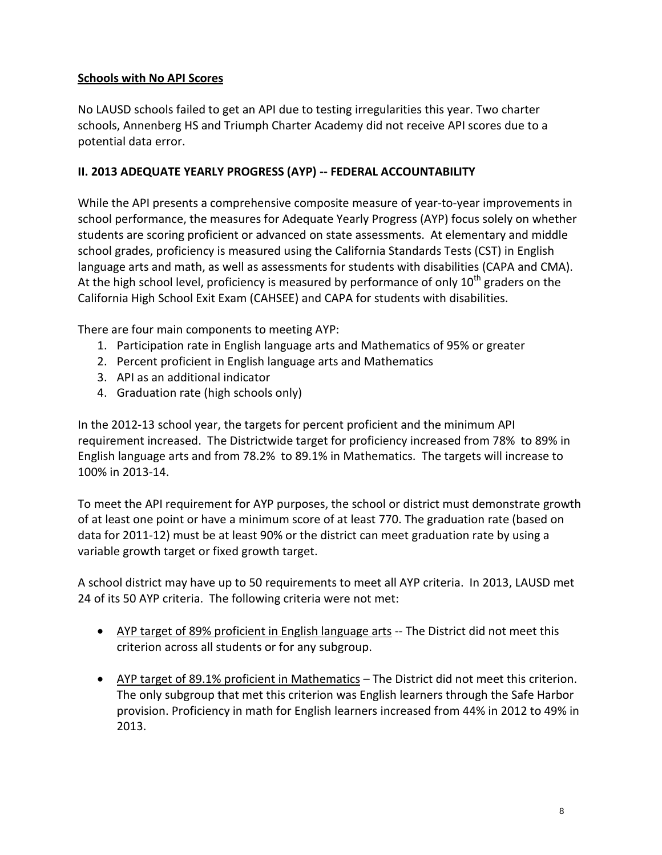# **Schools with No API Scores**

No LAUSD schools failed to get an API due to testing irregularities this year. Two charter schools, Annenberg HS and Triumph Charter Academy did not receive API scores due to a potential data error.

# **II. 2013 ADEQUATE YEARLY PROGRESS (AYP) -- FEDERAL ACCOUNTABILITY**

While the API presents a comprehensive composite measure of year-to-year improvements in school performance, the measures for Adequate Yearly Progress (AYP) focus solely on whether students are scoring proficient or advanced on state assessments. At elementary and middle school grades, proficiency is measured using the California Standards Tests (CST) in English language arts and math, as well as assessments for students with disabilities (CAPA and CMA). At the high school level, proficiency is measured by performance of only  $10^{th}$  graders on the California High School Exit Exam (CAHSEE) and CAPA for students with disabilities.

There are four main components to meeting AYP:

- 1. Participation rate in English language arts and Mathematics of 95% or greater
- 2. Percent proficient in English language arts and Mathematics
- 3. API as an additional indicator
- 4. Graduation rate (high schools only)

In the 2012-13 school year, the targets for percent proficient and the minimum API requirement increased. The Districtwide target for proficiency increased from 78% to 89% in English language arts and from 78.2% to 89.1% in Mathematics. The targets will increase to 100% in 2013-14.

To meet the API requirement for AYP purposes, the school or district must demonstrate growth of at least one point or have a minimum score of at least 770. The graduation rate (based on data for 2011-12) must be at least 90% or the district can meet graduation rate by using a variable growth target or fixed growth target.

A school district may have up to 50 requirements to meet all AYP criteria. In 2013, LAUSD met 24 of its 50 AYP criteria. The following criteria were not met:

- AYP target of 89% proficient in English language arts -- The District did not meet this criterion across all students or for any subgroup.
- AYP target of 89.1% proficient in Mathematics The District did not meet this criterion. The only subgroup that met this criterion was English learners through the Safe Harbor provision. Proficiency in math for English learners increased from 44% in 2012 to 49% in 2013.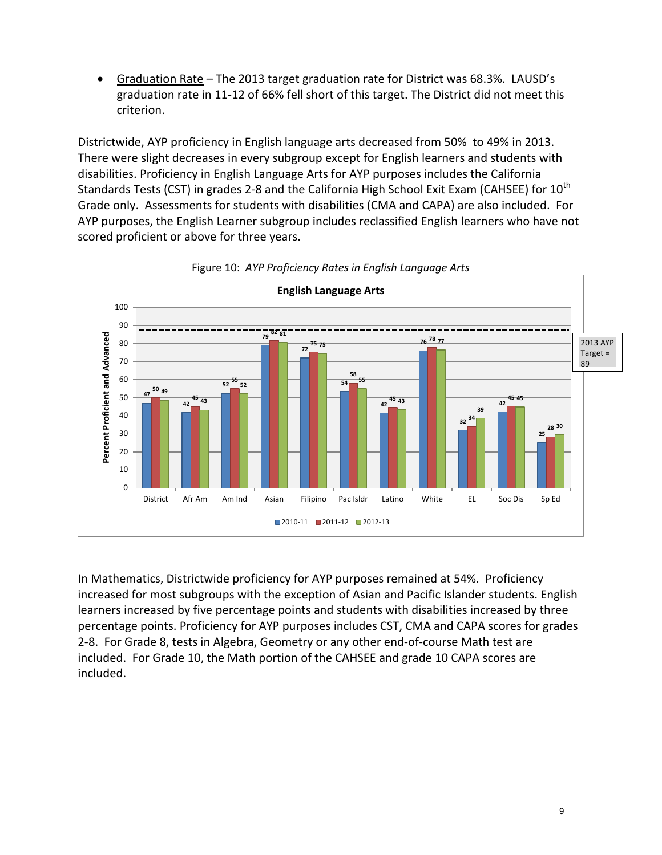• Graduation Rate – The 2013 target graduation rate for District was 68.3%. LAUSD's graduation rate in 11-12 of 66% fell short of this target. The District did not meet this criterion.

Districtwide, AYP proficiency in English language arts decreased from 50% to 49% in 2013. There were slight decreases in every subgroup except for English learners and students with disabilities. Proficiency in English Language Arts for AYP purposes includes the California Standards Tests (CST) in grades 2-8 and the California High School Exit Exam (CAHSEE) for 10<sup>th</sup> Grade only. Assessments for students with disabilities (CMA and CAPA) are also included. For AYP purposes, the English Learner subgroup includes reclassified English learners who have not scored proficient or above for three years.





In Mathematics, Districtwide proficiency for AYP purposes remained at 54%. Proficiency increased for most subgroups with the exception of Asian and Pacific Islander students. English learners increased by five percentage points and students with disabilities increased by three percentage points. Proficiency for AYP purposes includes CST, CMA and CAPA scores for grades 2-8. For Grade 8, tests in Algebra, Geometry or any other end-of-course Math test are included. For Grade 10, the Math portion of the CAHSEE and grade 10 CAPA scores are included.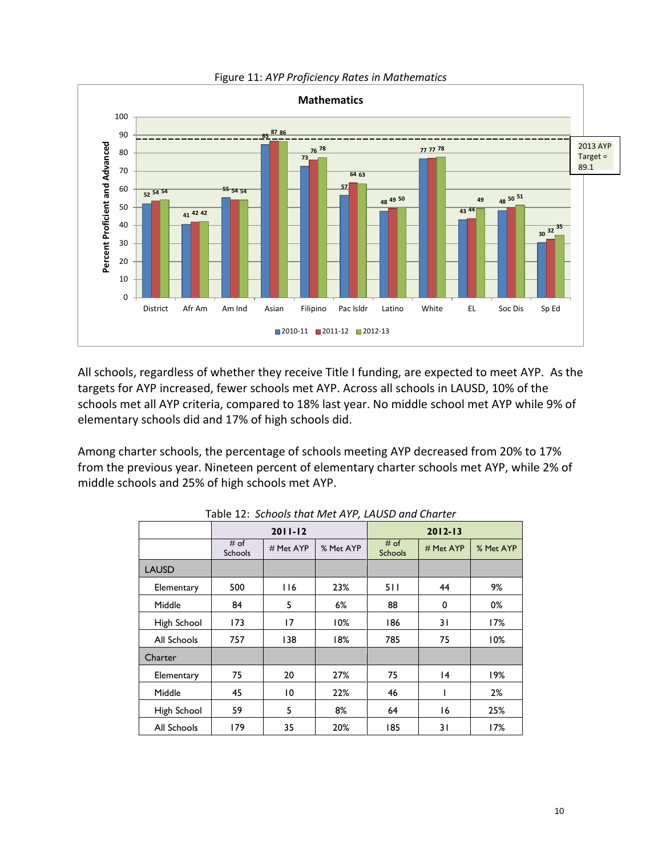

Figure 11: *AYP Proficiency Rates in Mathematics*

All schools, regardless of whether they receive Title I funding, are expected to meet AYP. As the targets for AYP increased, fewer schools met AYP. Across all schools in LAUSD, 10% of the schools met all AYP criteria, compared to 18% last year. No middle school met AYP while 9% of elementary schools did and 17% of high schools did.

Among charter schools, the percentage of schools meeting AYP decreased from 20% to 17% from the previous year. Nineteen percent of elementary charter schools met AYP, while 2% of middle schools and 25% of high schools met AYP.

| <i>.</i>     |                          |                        |       |                        |           |           |  |  |  |  |  |
|--------------|--------------------------|------------------------|-------|------------------------|-----------|-----------|--|--|--|--|--|
|              |                          | $2011 - 12$            |       | $2012 - 13$            |           |           |  |  |  |  |  |
|              | $#$ of<br><b>Schools</b> | % Met AYP<br># Met AYP |       | # of<br><b>Schools</b> | # Met AYP | % Met AYP |  |  |  |  |  |
| <b>LAUSD</b> |                          |                        |       |                        |           |           |  |  |  |  |  |
| Elementary   | 500                      | 116                    | 23%   | 511                    | 44        | 9%        |  |  |  |  |  |
| Middle       | 84                       | 5                      | $6\%$ | 88                     | 0         | 0%        |  |  |  |  |  |
| High School  | 173                      | 17                     | 10%   | 186                    | 31        | 17%       |  |  |  |  |  |
| All Schools  | 757                      | 138                    | 18%   | 785                    | 75        | 10%       |  |  |  |  |  |
| Charter      |                          |                        |       |                        |           |           |  |  |  |  |  |
| Elementary   | 75                       | 20                     | 27%   | 75                     | 4         | 19%       |  |  |  |  |  |
| Middle       | 45                       | 10                     | 22%   | 46                     | ı         | 2%        |  |  |  |  |  |
| High School  | 59                       | 5                      | 8%    | 64                     | 16        | 25%       |  |  |  |  |  |
| All Schools  | 179                      | 35                     | 20%   | 185                    | 31        | 17%       |  |  |  |  |  |

Table 12: *Schools that Met AYP, LAUSD and Charter*